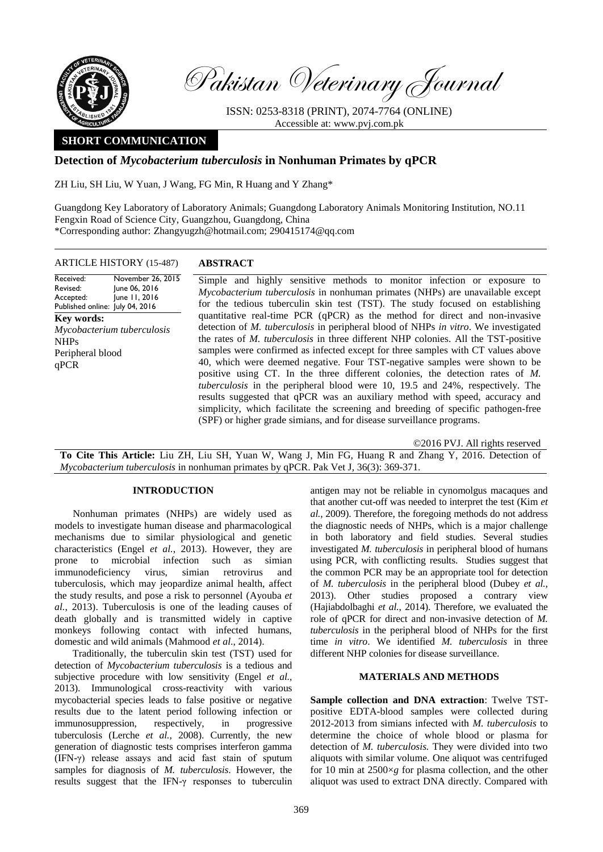

Pakistan Veterinary Journal

ISSN: 0253-8318 (PRINT), 2074-7764 (ONLINE) Accessible at: [www.pvj.com.pk](http://www.pvj.com.pk/)

# **SHORT COMMUNICATION**

## **Detection of** *Mycobacterium tuberculosis* **in Nonhuman Primates by qPCR**

ZH Liu, SH Liu, W Yuan, J Wang, FG Min, R Huang and Y Zhang\*

Guangdong Key Laboratory of Laboratory Animals; Guangdong Laboratory Animals Monitoring Institution, NO.11 Fengxin Road of Science City, Guangzhou, Guangdong, China \*Corresponding author: Zhangyugzh@hotmail.com; 290415174@qq.com

## ARTICLE HISTORY (15-487) **ABSTRACT**

Received: Revised: Accepted: Published online: July 04, 2016 November 26, 2015 June 06, 2016 June 11, 2016 **Key words:**  *Mycobacterium tuberculosis* NHPs Peripheral blood qPCR

Simple and highly sensitive methods to monitor infection or exposure to *Mycobacterium tuberculosis* in nonhuman primates (NHPs) are unavailable except for the tedious tuberculin skin test (TST). The study focused on establishing quantitative real-time PCR (qPCR) as the method for direct and non-invasive detection of *M. tuberculosis* in peripheral blood of NHPs *in vitro*. We investigated the rates of *M. tuberculosis* in three different NHP colonies. All the TST-positive samples were confirmed as infected except for three samples with CT values above 40, which were deemed negative. Four TST-negative samples were shown to be positive using CT. In the three different colonies, the detection rates of *M. tuberculosis* in the peripheral blood were 10, 19.5 and 24%, respectively. The results suggested that qPCR was an auxiliary method with speed, accuracy and simplicity, which facilitate the screening and breeding of specific pathogen-free (SPF) or higher grade simians, and for disease surveillance programs.

©2016 PVJ. All rights reserved

**To Cite This Article:** Liu ZH, Liu SH, Yuan W, Wang J, Min FG, Huang R and Zhang Y, 2016. Detection of *Mycobacterium tuberculosis* in nonhuman primates by qPCR. Pak Vet J, 36(3): 369-371.

## **INTRODUCTION**

Nonhuman primates (NHPs) are widely used as models to investigate human disease and pharmacological mechanisms due to similar physiological and genetic characteristics (Engel *et al.*, 2013). However, they are prone to microbial infection such as simian immunodeficiency virus, simian retrovirus and tuberculosis, which may jeopardize animal health, affect the study results, and pose a risk to personnel (Ayouba *et al.*, 2013). Tuberculosis is one of the leading causes of death globally and is transmitted widely in captive monkeys following contact with infected humans, domestic and wild animals (Mahmood *et al*., 2014).

Traditionally, the tuberculin skin test (TST) used for detection of *Mycobacterium tuberculosis* is a tedious and subjective procedure with low sensitivity (Engel *et al.*, 2013). Immunological cross-reactivity with various mycobacterial species leads to false positive or negative results due to the latent period following infection or immunosuppression, respectively, in progressive tuberculosis (Lerche *et al.*, 2008). Currently, the new generation of diagnostic tests comprises interferon gamma (IFN-γ) release assays and acid fast stain of sputum samples for diagnosis of *M. tuberculosis*. However, the results suggest that the IFN-γ responses to tuberculin

antigen may not be reliable in cynomolgus macaques and that another cut-off was needed to interpret the test (Kim *et al.*, 2009). Therefore, the foregoing methods do not address the diagnostic needs of NHPs, which is a major challenge in both laboratory and field studies. Several studies investigated *M. tuberculosis* in peripheral blood of humans using PCR, with conflicting results. Studies suggest that the common PCR may be an appropriate tool for detection of *M. tuberculosis* in the peripheral blood (Dubey *et al.*, 2013). Other studies proposed a contrary view (Hajiabdolbaghi *et al.*, 2014). Therefore, we evaluated the role of qPCR for direct and non-invasive detection of *M. tuberculosis* in the peripheral blood of NHPs for the first time *in vitro*. We identified *M. tuberculosis* in three different NHP colonies for disease surveillance.

## **MATERIALS AND METHODS**

**Sample collection and DNA extraction**: Twelve TSTpositive EDTA-blood samples were collected during 2012-2013 from simians infected with *M. tuberculosis* to determine the choice of whole blood or plasma for detection of *M. tuberculosis.* They were divided into two aliquots with similar volume. One aliquot was centrifuged for 10 min at  $2500 \times g$  for plasma collection, and the other aliquot was used to extract DNA directly. Compared with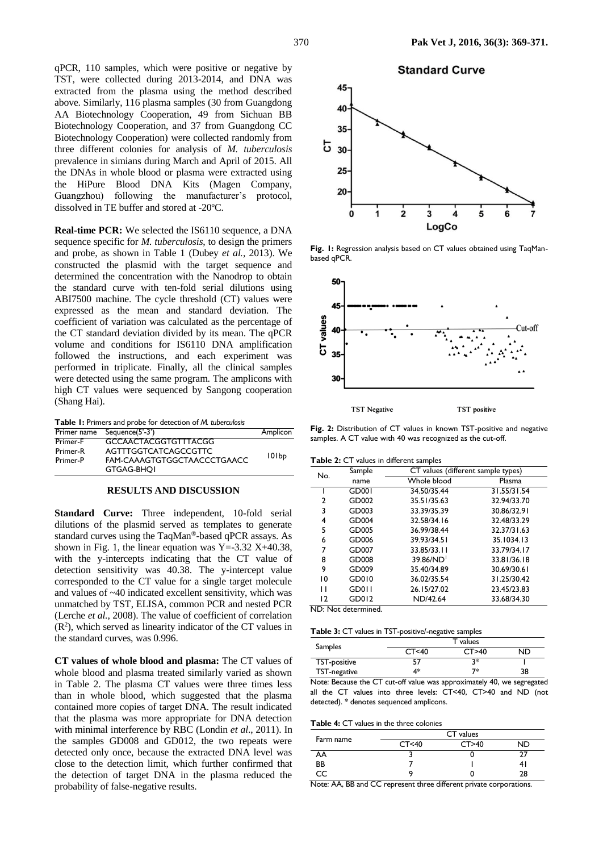qPCR, 110 samples, which were positive or negative by TST, were collected during 2013-2014, and DNA was extracted from the plasma using the method described above. Similarly, 116 plasma samples (30 from Guangdong AA Biotechnology Cooperation, 49 from Sichuan BB Biotechnology Cooperation, and 37 from Guangdong CC Biotechnology Cooperation) were collected randomly from three different colonies for analysis of *M. tuberculosis*  prevalence in simians during March and April of 2015. All the DNAs in whole blood or plasma were extracted using the HiPure Blood DNA Kits (Magen Company, Guangzhou) following the manufacturer's protocol, dissolved in TE buffer and stored at -20ºC.

**Real-time PCR:** We selected the IS6110 sequence, a DNA sequence specific for *M. tuberculosis*, to design the primers and probe, as shown in Table 1 (Dubey *et al.*, 2013). We constructed the plasmid with the target sequence and determined the concentration with the Nanodrop to obtain the standard curve with ten-fold serial dilutions using ABI7500 machine. The cycle threshold (CT) values were expressed as the mean and standard deviation. The coefficient of variation was calculated as the percentage of the CT standard deviation divided by its mean. The qPCR volume and conditions for IS6110 DNA amplification followed the instructions, and each experiment was performed in triplicate. Finally, all the clinical samples were detected using the same program. The amplicons with high CT values were sequenced by Sangong cooperation (Shang Hai).

| Table I: Primers and probe for detection of M. tuberculosis |  |  |  |  |
|-------------------------------------------------------------|--|--|--|--|
|-------------------------------------------------------------|--|--|--|--|

|          | Primer name Sequence(5'-3') | Amplicon |
|----------|-----------------------------|----------|
| Primer-F | <b>GCCAACTACGGTGTTTACGG</b> |          |
| Primer-R | AGTTTGGTCATCAGCCGTTC        |          |
| Primer-P | FAM-CAAAGTGTGGCTAACCCTGAACC | 101bp    |
|          | <b>GTGAG-BHOI</b>           |          |

#### **RESULTS AND DISCUSSION**

**Standard Curve:** Three independent, 10-fold serial dilutions of the plasmid served as templates to generate standard curves using the TaqMan®-based qPCR assays. As shown in Fig. 1, the linear equation was  $Y = -3.32 X + 40.38$ , with the y-intercepts indicating that the CT value of detection sensitivity was 40.38. The y-intercept value corresponded to the CT value for a single target molecule and values of ~40 indicated excellent sensitivity, which was unmatched by TST, ELISA, common PCR and nested PCR (Lerche *et al.*, 2008). The value of coefficient of correlation  $(R<sup>2</sup>)$ , which served as linearity indicator of the CT values in the standard curves, was 0.996.

**CT values of whole blood and plasma:** The CT values of whole blood and plasma treated similarly varied as shown in Table 2. The plasma CT values were three times less than in whole blood, which suggested that the plasma contained more copies of target DNA. The result indicated that the plasma was more appropriate for DNA detection with minimal interference by RBC (Londin *et al*., 2011). In the samples GD008 and GD012, the two repeats were detected only once, because the extracted DNA level was close to the detection limit, which further confirmed that the detection of target DNA in the plasma reduced the probability of false-negative results.



**Fig. 1:** Regression analysis based on CT values obtained using TaqManbased qPCR.



**Fig. 2:** Distribution of CT values in known TST-positive and negative samples. A CT value with 40 was recognized as the cut-off.

**Table 2:** CT values in different samples

| $\frac{1}{2}$ . $\frac{1}{2}$ . There is no control to the sum product |              |             |                                    |  |  |
|------------------------------------------------------------------------|--------------|-------------|------------------------------------|--|--|
| No.                                                                    | Sample       |             | CT values (different sample types) |  |  |
|                                                                        | name         | Whole blood | Plasma                             |  |  |
|                                                                        | <b>GD001</b> | 34.50/35.44 | 31.55/31.54                        |  |  |
| 2                                                                      | GD002        | 35.51/35.63 | 32.94/33.70                        |  |  |
| 3                                                                      | GD003        | 33.39/35.39 | 30.86/32.91                        |  |  |
| 4                                                                      | GD004        | 32.58/34.16 | 32.48/33.29                        |  |  |
| 5                                                                      | GD005        | 36.99/38.44 | 32.37/31.63                        |  |  |
| 6                                                                      | GD006        | 39.93/34.51 | 35.1034.13                         |  |  |
| 7                                                                      | GD007        | 33.85/33.11 | 33.79/34.17                        |  |  |
| 8                                                                      | GD008        | 39.86/ND    | 33.81/36.18                        |  |  |
| 9                                                                      | GD009        | 35.40/34.89 | 30.69/30.61                        |  |  |
| 10                                                                     | GD010        | 36.02/35.54 | 31.25/30.42                        |  |  |
| п                                                                      | GD011        | 26.15/27.02 | 23.45/23.83                        |  |  |
| 12                                                                     | GD012        | ND/42.64    | 33.68/34.30                        |  |  |
| $N/N$ , $N/L$ and $L$ are construented.                                |              |             |                                    |  |  |

ND: Not determined.

| Table 3: CT values in TST-positive/-negative samples |  |  |
|------------------------------------------------------|--|--|
|------------------------------------------------------|--|--|

| <b>Samples</b> | T values         |         |    |
|----------------|------------------|---------|----|
|                | CT <sub>40</sub> | CT > 40 | ND |
| TST-positive   | 57               | ว∗      |    |
| TST-negative   | 4*               | 7*      | 38 |

Note: Because the CT cut-off value was approximately 40, we segregated all the CT values into three levels: CT<40, CT>40 and ND (not detected). \* denotes sequenced amplicons.

**Table 4:** CT values in the three colonies

| Farm name | CT values |         |    |
|-----------|-----------|---------|----|
|           | CT < 40   | CT > 40 | ND |
| AA        |           |         |    |
| BB        |           |         |    |
|           |           |         | 28 |

Note: AA, BB and CC represent three different private corporations.